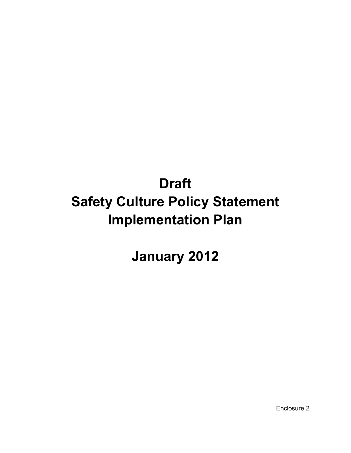# **Draft Safety Culture Policy Statement Implementation Plan**

**January 2012** 

Enclosure 2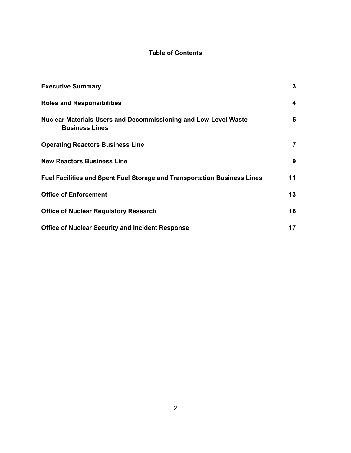## **Table of Contents**

| <b>Executive Summary</b>                                                                        | 3                       |
|-------------------------------------------------------------------------------------------------|-------------------------|
| <b>Roles and Responsibilities</b>                                                               | $\overline{\mathbf{4}}$ |
| <b>Nuclear Materials Users and Decommissioning and Low-Level Waste</b><br><b>Business Lines</b> | 5                       |
| <b>Operating Reactors Business Line</b>                                                         | $\overline{7}$          |
| <b>New Reactors Business Line</b>                                                               | 9                       |
| Fuel Facilities and Spent Fuel Storage and Transportation Business Lines                        | 11                      |
| <b>Office of Enforcement</b>                                                                    | 13                      |
| <b>Office of Nuclear Regulatory Research</b>                                                    | 16                      |
| <b>Office of Nuclear Security and Incident Response</b>                                         | 17                      |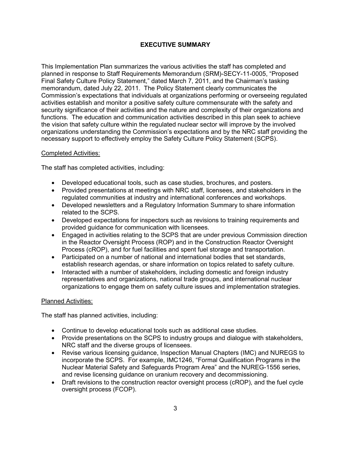## **EXECUTIVE SUMMARY**

This Implementation Plan summarizes the various activities the staff has completed and planned in response to Staff Requirements Memorandum (SRM)-SECY-11-0005, "Proposed Final Safety Culture Policy Statement," dated March 7, 2011, and the Chairman's tasking memorandum, dated July 22, 2011. The Policy Statement clearly communicates the Commission's expectations that individuals at organizations performing or overseeing regulated activities establish and monitor a positive safety culture commensurate with the safety and security significance of their activities and the nature and complexity of their organizations and functions. The education and communication activities described in this plan seek to achieve the vision that safety culture within the regulated nuclear sector will improve by the involved organizations understanding the Commission's expectations and by the NRC staff providing the necessary support to effectively employ the Safety Culture Policy Statement (SCPS).

## Completed Activities:

The staff has completed activities, including:

- Developed educational tools, such as case studies, brochures, and posters.
- Provided presentations at meetings with NRC staff, licensees, and stakeholders in the regulated communities at industry and international conferences and workshops.
- Developed newsletters and a Regulatory Information Summary to share information related to the SCPS.
- Developed expectations for inspectors such as revisions to training requirements and provided guidance for communication with licensees.
- Engaged in activities relating to the SCPS that are under previous Commission direction in the Reactor Oversight Process (ROP) and in the Construction Reactor Oversight Process (cROP), and for fuel facilities and spent fuel storage and transportation.
- Participated on a number of national and international bodies that set standards, establish research agendas, or share information on topics related to safety culture.
- Interacted with a number of stakeholders, including domestic and foreign industry representatives and organizations, national trade groups, and international nuclear organizations to engage them on safety culture issues and implementation strategies.

#### Planned Activities:

The staff has planned activities, including:

- Continue to develop educational tools such as additional case studies.
- Provide presentations on the SCPS to industry groups and dialogue with stakeholders, NRC staff and the diverse groups of licensees.
- Revise various licensing guidance, Inspection Manual Chapters (IMC) and NUREGS to incorporate the SCPS. For example, IMC1246, "Formal Qualification Programs in the Nuclear Material Safety and Safeguards Program Area" and the NUREG-1556 series, and revise licensing guidance on uranium recovery and decommissioning.
- Draft revisions to the construction reactor oversight process (cROP), and the fuel cycle oversight process (FCOP).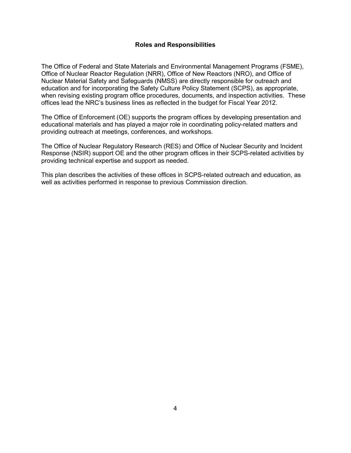#### **Roles and Responsibilities**

The Office of Federal and State Materials and Environmental Management Programs (FSME), Office of Nuclear Reactor Regulation (NRR), Office of New Reactors (NRO), and Office of Nuclear Material Safety and Safeguards (NMSS) are directly responsible for outreach and education and for incorporating the Safety Culture Policy Statement (SCPS), as appropriate, when revising existing program office procedures, documents, and inspection activities. These offices lead the NRC's business lines as reflected in the budget for Fiscal Year 2012.

The Office of Enforcement (OE) supports the program offices by developing presentation and educational materials and has played a major role in coordinating policy-related matters and providing outreach at meetings, conferences, and workshops.

The Office of Nuclear Regulatory Research (RES) and Office of Nuclear Security and Incident Response (NSIR) support OE and the other program offices in their SCPS-related activities by providing technical expertise and support as needed.

This plan describes the activities of these offices in SCPS-related outreach and education, as well as activities performed in response to previous Commission direction.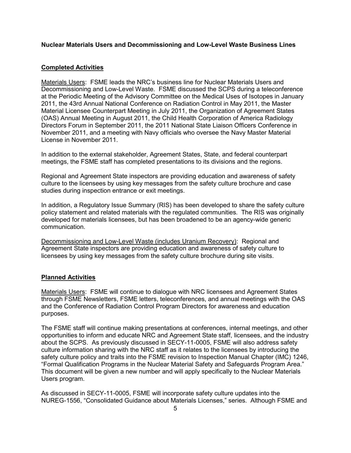#### **Nuclear Materials Users and Decommissioning and Low-Level Waste Business Lines**

#### **Completed Activities**

Materials Users: FSME leads the NRC's business line for Nuclear Materials Users and Decommissioning and Low-Level Waste. FSME discussed the SCPS during a teleconference at the Periodic Meeting of the Advisory Committee on the Medical Uses of Isotopes in January 2011, the 43rd Annual National Conference on Radiation Control in May 2011, the Master Material Licensee Counterpart Meeting in July 2011, the Organization of Agreement States (OAS) Annual Meeting in August 2011, the Child Health Corporation of America Radiology Directors Forum in September 2011, the 2011 National State Liaison Officers Conference in November 2011, and a meeting with Navy officials who oversee the Navy Master Material License in November 2011.

In addition to the external stakeholder, Agreement States, State, and federal counterpart meetings, the FSME staff has completed presentations to its divisions and the regions.

Regional and Agreement State inspectors are providing education and awareness of safety culture to the licensees by using key messages from the safety culture brochure and case studies during inspection entrance or exit meetings.

In addition, a Regulatory Issue Summary (RIS) has been developed to share the safety culture policy statement and related materials with the regulated communities. The RIS was originally developed for materials licensees, but has been broadened to be an agency-wide generic communication.

Decommissioning and Low-Level Waste (includes Uranium Recovery): Regional and Agreement State inspectors are providing education and awareness of safety culture to licensees by using key messages from the safety culture brochure during site visits.

#### **Planned Activities**

Materials Users: FSME will continue to dialogue with NRC licensees and Agreement States through FSME Newsletters, FSME letters, teleconferences, and annual meetings with the OAS and the Conference of Radiation Control Program Directors for awareness and education purposes.

The FSME staff will continue making presentations at conferences, internal meetings, and other opportunities to inform and educate NRC and Agreement State staff, licensees, and the industry about the SCPS. As previously discussed in SECY-11-0005, FSME will also address safety culture information sharing with the NRC staff as it relates to the licensees by introducing the safety culture policy and traits into the FSME revision to Inspection Manual Chapter (IMC) 1246, "Formal Qualification Programs in the Nuclear Material Safety and Safeguards Program Area." This document will be given a new number and will apply specifically to the Nuclear Materials Users program.

As discussed in SECY-11-0005, FSME will incorporate safety culture updates into the NUREG-1556, "Consolidated Guidance about Materials Licenses," series.Although FSME and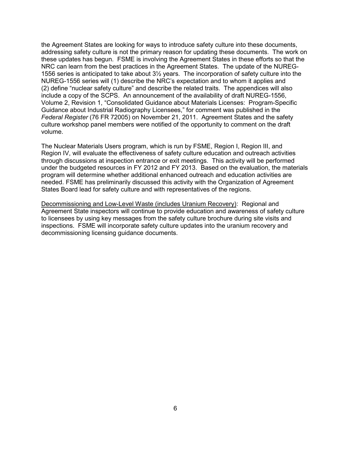the Agreement States are looking for ways to introduce safety culture into these documents, addressing safety culture is not the primary reason for updating these documents. The work on these updates has begun. FSME is involving the Agreement States in these efforts so that the NRC can learn from the best practices in the Agreement States. The update of the NUREG-1556 series is anticipated to take about 3½ years.The incorporation of safety culture into the NUREG-1556 series will (1) describe the NRC's expectation and to whom it applies and (2) define "nuclear safety culture" and describe the related traits. The appendices will also include a copy of the SCPS. An announcement of the availability of draft NUREG-1556, Volume 2, Revision 1, "Consolidated Guidance about Materials Licenses: Program-Specific Guidance about Industrial Radiography Licensees," for comment was published in the *Federal Register* (76 FR 72005) on November 21, 2011. Agreement States and the safety culture workshop panel members were notified of the opportunity to comment on the draft volume.

The Nuclear Materials Users program, which is run by FSME, Region I, Region III, and Region IV, will evaluate the effectiveness of safety culture education and outreach activities through discussions at inspection entrance or exit meetings. This activity will be performed under the budgeted resources in FY 2012 and FY 2013. Based on the evaluation, the materials program will determine whether additional enhanced outreach and education activities are needed. FSME has preliminarily discussed this activity with the Organization of Agreement States Board lead for safety culture and with representatives of the regions.

Decommissioning and Low-Level Waste (includes Uranium Recovery): Regional and Agreement State inspectors will continue to provide education and awareness of safety culture to licensees by using key messages from the safety culture brochure during site visits and inspections. FSME will incorporate safety culture updates into the uranium recovery and decommissioning licensing guidance documents.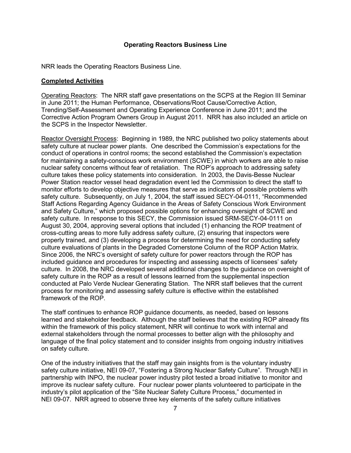#### **Operating Reactors Business Line**

NRR leads the Operating Reactors Business Line.

#### **Completed Activities**

Operating Reactors: The NRR staff gave presentations on the SCPS at the Region III Seminar in June 2011; the Human Performance, Observations/Root Cause/Corrective Action, Trending/Self-Assessment and Operating Experience Conference in June 2011; and the Corrective Action Program Owners Group in August 2011. NRR has also included an article on the SCPS in the Inspector Newsletter.

Reactor Oversight Process: Beginning in 1989, the NRC published two policy statements about safety culture at nuclear power plants. One described the Commission's expectations for the conduct of operations in control rooms; the second established the Commission's expectation for maintaining a safety-conscious work environment (SCWE) in which workers are able to raise nuclear safety concerns without fear of retaliation. The ROP's approach to addressing safety culture takes these policy statements into consideration. In 2003, the Davis-Besse Nuclear Power Station reactor vessel head degradation event led the Commission to direct the staff to monitor efforts to develop objective measures that serve as indicators of possible problems with safety culture. Subsequently, on July 1, 2004, the staff issued SECY-04-0111, "Recommended Staff Actions Regarding Agency Guidance in the Areas of Safety Conscious Work Environment and Safety Culture," which proposed possible options for enhancing oversight of SCWE and safety culture. In response to this SECY, the Commission issued SRM-SECY-04-0111 on August 30, 2004, approving several options that included (1) enhancing the ROP treatment of cross-cutting areas to more fully address safety culture, (2) ensuring that inspectors were properly trained, and (3) developing a process for determining the need for conducting safety culture evaluations of plants in the Degraded Cornerstone Column of the ROP Action Matrix. Since 2006, the NRC's oversight of safety culture for power reactors through the ROP has included guidance and procedures for inspecting and assessing aspects of licensees' safety culture. In 2008, the NRC developed several additional changes to the guidance on oversight of safety culture in the ROP as a result of lessons learned from the supplemental inspection conducted at Palo Verde Nuclear Generating Station. The NRR staff believes that the current process for monitoring and assessing safety culture is effective within the established framework of the ROP.

The staff continues to enhance ROP guidance documents, as needed, based on lessons learned and stakeholder feedback. Although the staff believes that the existing ROP already fits within the framework of this policy statement, NRR will continue to work with internal and external stakeholders through the normal processes to better align with the philosophy and language of the final policy statement and to consider insights from ongoing industry initiatives on safety culture.

One of the industry initiatives that the staff may gain insights from is the voluntary industry safety culture initiative, NEI 09-07, "Fostering a Strong Nuclear Safety Culture". Through NEI in partnership with INPO, the nuclear power industry pilot tested a broad initiative to monitor and improve its nuclear safety culture. Four nuclear power plants volunteered to participate in the industry's pilot application of the "Site Nuclear Safety Culture Process," documented in NEI 09-07. NRR agreed to observe three key elements of the safety culture initiatives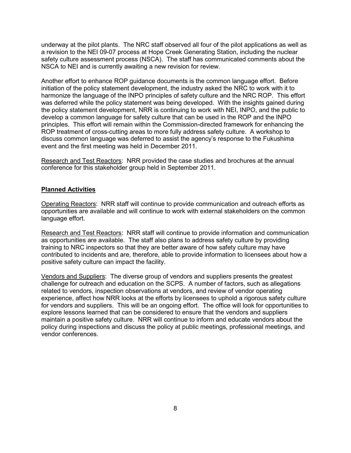underway at the pilot plants. The NRC staff observed all four of the pilot applications as well as a revision to the NEI 09-07 process at Hope Creek Generating Station, including the nuclear safety culture assessment process (NSCA). The staff has communicated comments about the NSCA to NEI and is currently awaiting a new revision for review.

Another effort to enhance ROP guidance documents is the common language effort. Before initiation of the policy statement development, the industry asked the NRC to work with it to harmonize the language of the INPO principles of safety culture and the NRC ROP. This effort was deferred while the policy statement was being developed. With the insights gained during the policy statement development, NRR is continuing to work with NEI, INPO, and the public to develop a common language for safety culture that can be used in the ROP and the INPO principles. This effort will remain within the Commission-directed framework for enhancing the ROP treatment of cross-cutting areas to more fully address safety culture. A workshop to discuss common language was deferred to assist the agency's response to the Fukushima event and the first meeting was held in December 2011.

Research and Test Reactors: NRR provided the case studies and brochures at the annual conference for this stakeholder group held in September 2011.

#### **Planned Activities**

Operating Reactors: NRR staff will continue to provide communication and outreach efforts as opportunities are available and will continue to work with external stakeholders on the common language effort.

Research and Test Reactors: NRR staff will continue to provide information and communication as opportunities are available. The staff also plans to address safety culture by providing training to NRC inspectors so that they are better aware of how safety culture may have contributed to incidents and are, therefore, able to provide information to licensees about how a positive safety culture can impact the facility.

Vendors and Suppliers: The diverse group of vendors and suppliers presents the greatest challenge for outreach and education on the SCPS. A number of factors, such as allegations related to vendors, inspection observations at vendors, and review of vendor operating experience, affect how NRR looks at the efforts by licensees to uphold a rigorous safety culture for vendors and suppliers. This will be an ongoing effort. The office will look for opportunities to explore lessons learned that can be considered to ensure that the vendors and suppliers maintain a positive safety culture. NRR will continue to inform and educate vendors about the policy during inspections and discuss the policy at public meetings, professional meetings, and vendor conferences.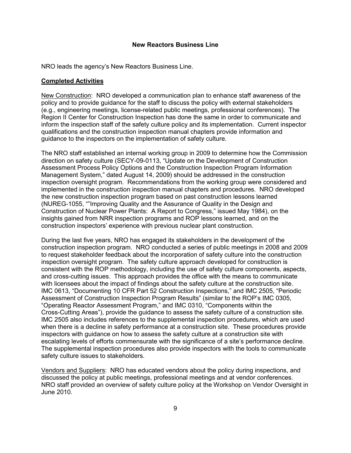#### **New Reactors Business Line**

NRO leads the agency's New Reactors Business Line.

#### **Completed Activities**

New Construction: NRO developed a communication plan to enhance staff awareness of the policy and to provide guidance for the staff to discuss the policy with external stakeholders (e.g., engineering meetings, license-related public meetings, professional conferences). The Region II Center for Construction Inspection has done the same in order to communicate and inform the inspection staff of the safety culture policy and its implementation. Current inspector qualifications and the construction inspection manual chapters provide information and guidance to the inspectors on the implementation of safety culture.

The NRO staff established an internal working group in 2009 to determine how the Commission direction on safety culture (SECY-09-0113, "Update on the Development of Construction Assessment Process Policy Options and the Construction Inspection Program Information Management System," dated August 14, 2009) should be addressed in the construction inspection oversight program. Recommendations from the working group were considered and implemented in the construction inspection manual chapters and procedures. NRO developed the new construction inspection program based on past construction lessons learned (NUREG-1055, ""Improving Quality and the Assurance of Quality in the Design and Construction of Nuclear Power Plants: A Report to Congress," issued May 1984), on the insights gained from NRR inspection programs and ROP lessons learned, and on the construction inspectors' experience with previous nuclear plant construction.

During the last five years, NRO has engaged its stakeholders in the development of the construction inspection program. NRO conducted a series of public meetings in 2008 and 2009 to request stakeholder feedback about the incorporation of safety culture into the construction inspection oversight program. The safety culture approach developed for construction is consistent with the ROP methodology, including the use of safety culture components, aspects, and cross-cutting issues. This approach provides the office with the means to communicate with licensees about the impact of findings about the safety culture at the construction site. IMC 0613, "Documenting 10 CFR Part 52 Construction Inspections," and IMC 2505, "Periodic Assessment of Construction Inspection Program Results" (similar to the ROP's IMC 0305, "Operating Reactor Assessment Program," and IMC 0310, "Components within the Cross-Cutting Areas"), provide the guidance to assess the safety culture of a construction site. IMC 2505 also includes references to the supplemental inspection procedures, which are used when there is a decline in safety performance at a construction site. These procedures provide inspectors with guidance on how to assess the safety culture at a construction site with escalating levels of efforts commensurate with the significance of a site's performance decline. The supplemental inspection procedures also provide inspectors with the tools to communicate safety culture issues to stakeholders.

Vendors and Suppliers: NRO has educated vendors about the policy during inspections, and discussed the policy at public meetings, professional meetings and at vendor conferences. NRO staff provided an overview of safety culture policy at the Workshop on Vendor Oversight in June 2010.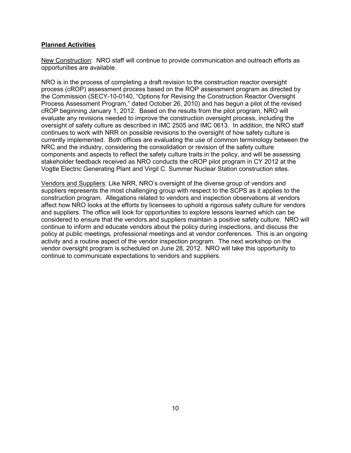## **Planned Activities**

New Construction: NRO staff will continue to provide communication and outreach efforts as opportunities are available.

NRO is in the process of completing a draft revision to the construction reactor oversight process (cROP) assessment process based on the ROP assessment program as directed by the Commission (SECY-10-0140, "Options for Revising the Construction Reactor Oversight Process Assessment Program," dated October 26, 2010) and has begun a pilot of the revised cROP beginning January 1, 2012. Based on the results from the pilot program, NRO will evaluate any revisions needed to improve the construction oversight process, including the oversight of safety culture as described in IMC 2505 and IMC 0613. In addition, the NRO staff continues to work with NRR on possible revisions to the oversight of how safety culture is currently implemented. Both offices are evaluating the use of common terminology between the NRC and the industry, considering the consolidation or revision of the safety culture components and aspects to reflect the safety culture traits in the policy, and will be assessing stakeholder feedback received as NRO conducts the cROP pilot program in CY 2012 at the Vogtle Electric Generating Plant and Virgil C. Summer Nuclear Station construction sites.

Vendors and Suppliers: Like NRR, NRO's oversight of the diverse group of vendors and suppliers represents the most challenging group with respect to the SCPS as it applies to the construction program. Allegations related to vendors and inspection observations at vendors affect how NRO looks at the efforts by licensees to uphold a rigorous safety culture for vendors and suppliers. The office will look for opportunities to explore lessons learned which can be considered to ensure that the vendors and suppliers maintain a positive safety culture. NRO will continue to inform and educate vendors about the policy during inspections, and discuss the policy at public meetings, professional meetings and at vendor conferences. This is an ongoing activity and a routine aspect of the vendor inspection program. The next workshop on the vendor oversight program is scheduled on June 28, 2012. NRO will take this opportunity to continue to communicate expectations to vendors and suppliers.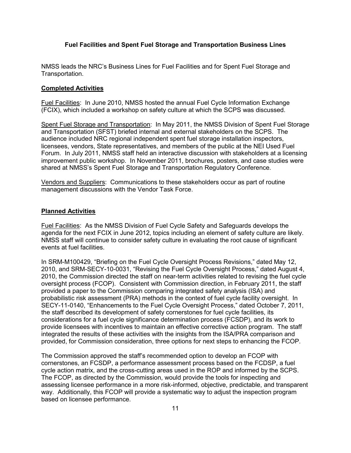## **Fuel Facilities and Spent Fuel Storage and Transportation Business Lines**

NMSS leads the NRC's Business Lines for Fuel Facilities and for Spent Fuel Storage and Transportation.

#### **Completed Activities**

Fuel Facilities: In June 2010, NMSS hosted the annual Fuel Cycle Information Exchange (FCIX), which included a workshop on safety culture at which the SCPS was discussed.

Spent Fuel Storage and Transportation: In May 2011, the NMSS Division of Spent Fuel Storage and Transportation (SFST) briefed internal and external stakeholders on the SCPS. The audience included NRC regional independent spent fuel storage installation inspectors, licensees, vendors, State representatives, and members of the public at the NEI Used Fuel Forum. In July 2011, NMSS staff held an interactive discussion with stakeholders at a licensing improvement public workshop. In November 2011, brochures, posters, and case studies were shared at NMSS's Spent Fuel Storage and Transportation Regulatory Conference.

Vendors and Suppliers: Communications to these stakeholders occur as part of routine management discussions with the Vendor Task Force.

#### **Planned Activities**

Fuel Facilities: As the NMSS Division of Fuel Cycle Safety and Safeguards develops the agenda for the next FCIX in June 2012, topics including an element of safety culture are likely. NMSS staff will continue to consider safety culture in evaluating the root cause of significant events at fuel facilities.

In SRM-M100429, "Briefing on the Fuel Cycle Oversight Process Revisions," dated May 12, 2010, and SRM-SECY-10-0031, "Revising the Fuel Cycle Oversight Process," dated August 4, 2010, the Commission directed the staff on near-term activities related to revising the fuel cycle oversight process (FCOP). Consistent with Commission direction, in February 2011, the staff provided a paper to the Commission comparing integrated safety analysis (ISA) and probabilistic risk assessment (PRA) methods in the context of fuel cycle facility oversight. In SECY-11-0140, "Enhancements to the Fuel Cycle Oversight Process," dated October 7, 2011, the staff described its development of safety cornerstones for fuel cycle facilities, its considerations for a fuel cycle significance determination process (FCSDP), and its work to provide licensees with incentives to maintain an effective corrective action program. The staff integrated the results of these activities with the insights from the ISA/PRA comparison and provided, for Commission consideration, three options for next steps to enhancing the FCOP.

The Commission approved the staff's recommended option to develop an FCOP with cornerstones, an FCSDP, a performance assessment process based on the FCDSP, a fuel cycle action matrix, and the cross-cutting areas used in the ROP and informed by the SCPS. The FCOP, as directed by the Commission, would provide the tools for inspecting and assessing licensee performance in a more risk-informed, objective, predictable, and transparent way. Additionally, this FCOP will provide a systematic way to adjust the inspection program based on licensee performance.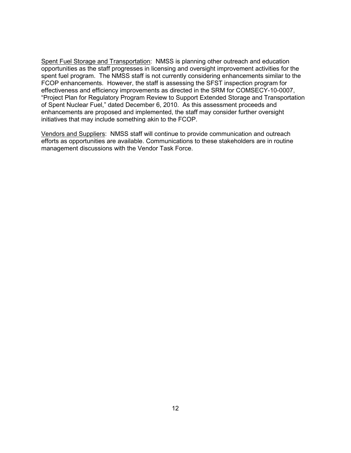Spent Fuel Storage and Transportation: NMSS is planning other outreach and education opportunities as the staff progresses in licensing and oversight improvement activities for the spent fuel program. The NMSS staff is not currently considering enhancements similar to the FCOP enhancements. However, the staff is assessing the SFST inspection program for effectiveness and efficiency improvements as directed in the SRM for COMSECY-10-0007, "Project Plan for Regulatory Program Review to Support Extended Storage and Transportation of Spent Nuclear Fuel," dated December 6, 2010. As this assessment proceeds and enhancements are proposed and implemented, the staff may consider further oversight initiatives that may include something akin to the FCOP.

Vendors and Suppliers: NMSS staff will continue to provide communication and outreach efforts as opportunities are available. Communications to these stakeholders are in routine management discussions with the Vendor Task Force.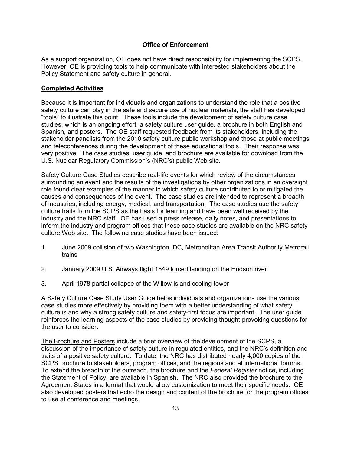## **Office of Enforcement**

As a support organization, OE does not have direct responsibility for implementing the SCPS. However, OE is providing tools to help communicate with interested stakeholders about the Policy Statement and safety culture in general.

## **Completed Activities**

Because it is important for individuals and organizations to understand the role that a positive safety culture can play in the safe and secure use of nuclear materials, the staff has developed "tools" to illustrate this point. These tools include the development of safety culture case studies, which is an ongoing effort, a safety culture user guide, a brochure in both English and Spanish, and posters. The OE staff requested feedback from its stakeholders, including the stakeholder panelists from the 2010 safety culture public workshop and those at public meetings and teleconferences during the development of these educational tools. Their response was very positive. The case studies, user guide, and brochure are available for download from the U.S. Nuclear Regulatory Commission's (NRC's) public Web site.

Safety Culture Case Studies describe real-life events for which review of the circumstances surrounding an event and the results of the investigations by other organizations in an oversight role found clear examples of the manner in which safety culture contributed to or mitigated the causes and consequences of the event. The case studies are intended to represent a breadth of industries, including energy, medical, and transportation. The case studies use the safety culture traits from the SCPS as the basis for learning and have been well received by the industry and the NRC staff. OE has used a press release, daily notes, and presentations to inform the industry and program offices that these case studies are available on the NRC safety culture Web site. The following case studies have been issued:

- 1. June 2009 collision of two Washington, DC, Metropolitan Area Transit Authority Metrorail trains
- 2. January 2009 U.S. Airways flight 1549 forced landing on the Hudson river
- 3. April 1978 partial collapse of the Willow Island cooling tower

A Safety Culture Case Study User Guide helps individuals and organizations use the various case studies more effectively by providing them with a better understanding of what safety culture is and why a strong safety culture and safety-first focus are important. The user guide reinforces the learning aspects of the case studies by providing thought-provoking questions for the user to consider.

The Brochure and Posters include a brief overview of the development of the SCPS, a discussion of the importance of safety culture in regulated entities, and the NRC's definition and traits of a positive safety culture. To date, the NRC has distributed nearly 4,000 copies of the SCPS brochure to stakeholders, program offices, and the regions and at international forums. To extend the breadth of the outreach, the brochure and the *Federal Register* notice, including the Statement of Policy, are available in Spanish. The NRC also provided the brochure to the Agreement States in a format that would allow customization to meet their specific needs. OE also developed posters that echo the design and content of the brochure for the program offices to use at conference and meetings.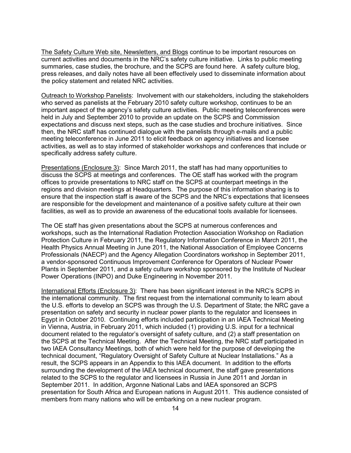The Safety Culture Web site, Newsletters, and Blogs continue to be important resources on current activities and documents in the NRC's safety culture initiative. Links to public meeting summaries, case studies, the brochure, and the SCPS are found here. A safety culture blog, press releases, and daily notes have all been effectively used to disseminate information about the policy statement and related NRC activities.

Outreach to Workshop Panelists: Involvement with our stakeholders, including the stakeholders who served as panelists at the February 2010 safety culture workshop, continues to be an important aspect of the agency's safety culture activities. Public meeting teleconferences were held in July and September 2010 to provide an update on the SCPS and Commission expectations and discuss next steps, such as the case studies and brochure initiatives. Since then, the NRC staff has continued dialogue with the panelists through e-mails and a public meeting teleconference in June 2011 to elicit feedback on agency initiatives and licensee activities, as well as to stay informed of stakeholder workshops and conferences that include or specifically address safety culture.

Presentations (Enclosure 3): Since March 2011, the staff has had many opportunities to discuss the SCPS at meetings and conferences. The OE staff has worked with the program offices to provide presentations to NRC staff on the SCPS at counterpart meetings in the regions and division meetings at Headquarters. The purpose of this information sharing is to ensure that the inspection staff is aware of the SCPS and the NRC's expectations that licensees are responsible for the development and maintenance of a positive safety culture at their own facilities, as well as to provide an awareness of the educational tools available for licensees.

The OE staff has given presentations about the SCPS at numerous conferences and workshops, such as the International Radiation Protection Association Workshop on Radiation Protection Culture in February 2011, the Regulatory Information Conference in March 2011, the Health Physics Annual Meeting in June 2011, the National Association of Employee Concerns Professionals (NAECP) and the Agency Allegation Coordinators workshop in September 2011, a vendor-sponsored Continuous Improvement Conference for Operators of Nuclear Power Plants in September 2011, and a safety culture workshop sponsored by the Institute of Nuclear Power Operations (INPO) and Duke Engineering in November 2011.

International Efforts (Enclosure 3): There has been significant interest in the NRC's SCPS in the international community. The first request from the international community to learn about the U.S. efforts to develop an SCPS was through the U.S. Department of State; the NRC gave a presentation on safety and security in nuclear power plants to the regulator and licensees in Egypt in October 2010. Continuing efforts included participation in an IAEA Technical Meeting in Vienna, Austria, in February 2011, which included (1) providing U.S. input for a technical document related to the regulator's oversight of safety culture, and (2) a staff presentation on the SCPS at the Technical Meeting. After the Technical Meeting, the NRC staff participated in two IAEA Consultancy Meetings, both of which were held for the purpose of developing the technical document, "Regulatory Oversight of Safety Culture at Nuclear Installations." As a result, the SCPS appears in an Appendix to this IAEA document. In addition to the efforts surrounding the development of the IAEA technical document, the staff gave presentations related to the SCPS to the regulator and licensees in Russia in June 2011 and Jordan in September 2011. In addition, Argonne National Labs and IAEA sponsored an SCPS presentation for South Africa and European nations in August 2011. This audience consisted of members from many nations who will be embarking on a new nuclear program.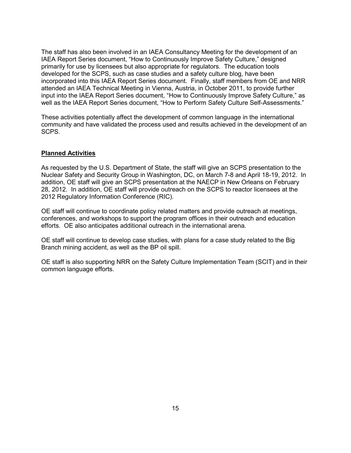The staff has also been involved in an IAEA Consultancy Meeting for the development of an IAEA Report Series document, "How to Continuously Improve Safety Culture," designed primarily for use by licensees but also appropriate for regulators. The education tools developed for the SCPS, such as case studies and a safety culture blog, have been incorporated into this IAEA Report Series document. Finally, staff members from OE and NRR attended an IAEA Technical Meeting in Vienna, Austria, in October 2011, to provide further input into the IAEA Report Series document, "How to Continuously Improve Safety Culture," as well as the IAEA Report Series document, "How to Perform Safety Culture Self-Assessments."

These activities potentially affect the development of common language in the international community and have validated the process used and results achieved in the development of an SCPS.

## **Planned Activities**

As requested by the U.S. Department of State, the staff will give an SCPS presentation to the Nuclear Safety and Security Group in Washington, DC, on March 7-8 and April 18-19, 2012. In addition, OE staff will give an SCPS presentation at the NAECP in New Orleans on February 28, 2012. In addition, OE staff will provide outreach on the SCPS to reactor licensees at the 2012 Regulatory Information Conference (RIC).

OE staff will continue to coordinate policy related matters and provide outreach at meetings, conferences, and workshops to support the program offices in their outreach and education efforts. OE also anticipates additional outreach in the international arena.

OE staff will continue to develop case studies, with plans for a case study related to the Big Branch mining accident, as well as the BP oil spill.

OE staff is also supporting NRR on the Safety Culture Implementation Team (SCIT) and in their common language efforts.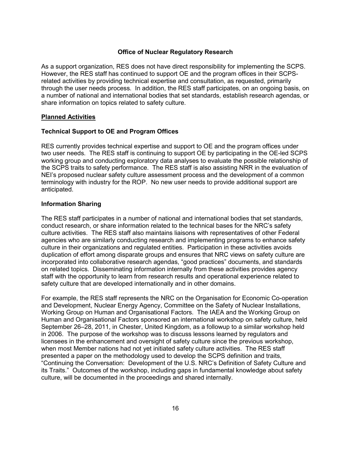## **Office of Nuclear Regulatory Research**

As a support organization, RES does not have direct responsibility for implementing the SCPS. However, the RES staff has continued to support OE and the program offices in their SCPSrelated activities by providing technical expertise and consultation, as requested, primarily through the user needs process. In addition, the RES staff participates, on an ongoing basis, on a number of national and international bodies that set standards, establish research agendas, or share information on topics related to safety culture.

## **Planned Activities**

## **Technical Support to OE and Program Offices**

RES currently provides technical expertise and support to OE and the program offices under two user needs. The RES staff is continuing to support OE by participating in the OE-led SCPS working group and conducting exploratory data analyses to evaluate the possible relationship of the SCPS traits to safety performance. The RES staff is also assisting NRR in the evaluation of NEI's proposed nuclear safety culture assessment process and the development of a common terminology with industry for the ROP. No new user needs to provide additional support are anticipated.

#### **Information Sharing**

The RES staff participates in a number of national and international bodies that set standards, conduct research, or share information related to the technical bases for the NRC's safety culture activities. The RES staff also maintains liaisons with representatives of other Federal agencies who are similarly conducting research and implementing programs to enhance safety culture in their organizations and regulated entities. Participation in these activities avoids duplication of effort among disparate groups and ensures that NRC views on safety culture are incorporated into collaborative research agendas, "good practices" documents, and standards on related topics. Disseminating information internally from these activities provides agency staff with the opportunity to learn from research results and operational experience related to safety culture that are developed internationally and in other domains.

For example, the RES staff represents the NRC on the Organisation for Economic Co-operation and Development, Nuclear Energy Agency, Committee on the Safety of Nuclear Installations, Working Group on Human and Organisational Factors. The IAEA and the Working Group on Human and Organisational Factors sponsored an international workshop on safety culture, held September 26–28, 2011, in Chester, United Kingdom, as a followup to a similar workshop held in 2006. The purpose of the workshop was to discuss lessons learned by regulators and licensees in the enhancement and oversight of safety culture since the previous workshop, when most Member nations had not yet initiated safety culture activities. The RES staff presented a paper on the methodology used to develop the SCPS definition and traits, "Continuing the Conversation: Development of the U.S. NRC's Definition of Safety Culture and its Traits." Outcomes of the workshop, including gaps in fundamental knowledge about safety culture, will be documented in the proceedings and shared internally.